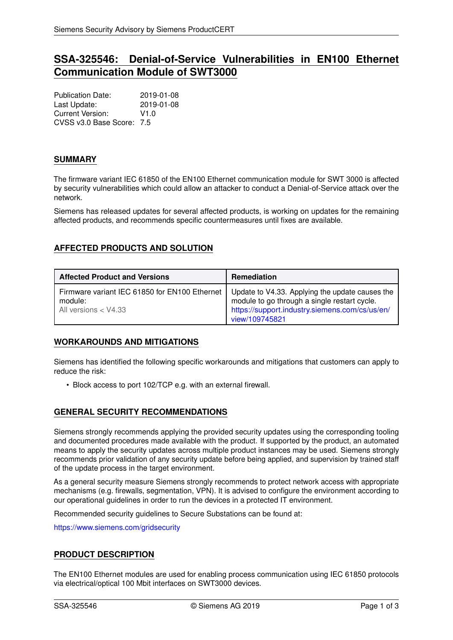# **SSA-325546: Denial-of-Service Vulnerabilities in EN100 Ethernet Communication Module of SWT3000**

Publication Date: 2019-01-08 Last Update: 2019-01-08 Current Version: V1.0 CVSS v3.0 Base Score: 7.5

### **SUMMARY**

The firmware variant IEC 61850 of the EN100 Ethernet communication module for SWT 3000 is affected by security vulnerabilities which could allow an attacker to conduct a Denial-of-Service attack over the network.

Siemens has released updates for several affected products, is working on updates for the remaining affected products, and recommends specific countermeasures until fixes are available.

# **AFFECTED PRODUCTS AND SOLUTION**

| <b>Affected Product and Versions</b>                                               | Remediation                                                                                                                                                         |
|------------------------------------------------------------------------------------|---------------------------------------------------------------------------------------------------------------------------------------------------------------------|
| Firmware variant IEC 61850 for EN100 Ethernet<br>module:<br>All versions $<$ V4.33 | Update to V4.33. Applying the update causes the<br>module to go through a single restart cycle.<br>https://support.industry.siemens.com/cs/us/en/<br>view/109745821 |

# **WORKAROUNDS AND MITIGATIONS**

Siemens has identified the following specific workarounds and mitigations that customers can apply to reduce the risk:

• Block access to port 102/TCP e.g. with an external firewall.

# **GENERAL SECURITY RECOMMENDATIONS**

Siemens strongly recommends applying the provided security updates using the corresponding tooling and documented procedures made available with the product. If supported by the product, an automated means to apply the security updates across multiple product instances may be used. Siemens strongly recommends prior validation of any security update before being applied, and supervision by trained staff of the update process in the target environment.

As a general security measure Siemens strongly recommends to protect network access with appropriate mechanisms (e.g. firewalls, segmentation, VPN). It is advised to configure the environment according to our operational guidelines in order to run the devices in a protected IT environment.

Recommended security guidelines to Secure Substations can be found at:

<https://www.siemens.com/gridsecurity>

# **PRODUCT DESCRIPTION**

The EN100 Ethernet modules are used for enabling process communication using IEC 61850 protocols via electrical/optical 100 Mbit interfaces on SWT3000 devices.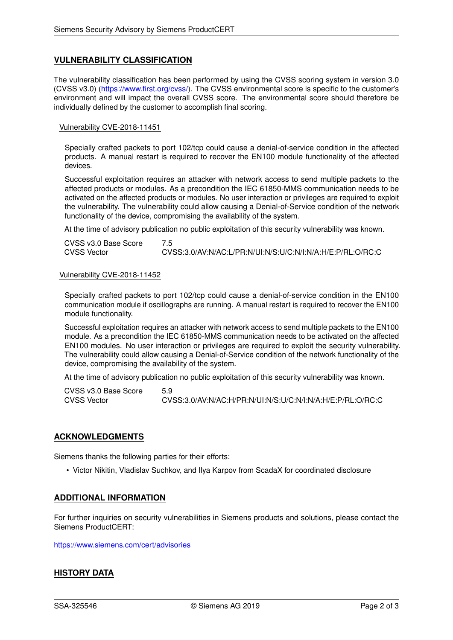### **VULNERABILITY CLASSIFICATION**

The vulnerability classification has been performed by using the CVSS scoring system in version 3.0 (CVSS v3.0) [\(https://www.first.org/cvss/\)](https://www.first.org/cvss/). The CVSS environmental score is specific to the customer's environment and will impact the overall CVSS score. The environmental score should therefore be individually defined by the customer to accomplish final scoring.

#### Vulnerability CVE-2018-11451

Specially crafted packets to port 102/tcp could cause a denial-of-service condition in the affected products. A manual restart is required to recover the EN100 module functionality of the affected devices.

Successful exploitation requires an attacker with network access to send multiple packets to the affected products or modules. As a precondition the IEC 61850-MMS communication needs to be activated on the affected products or modules. No user interaction or privileges are required to exploit the vulnerability. The vulnerability could allow causing a Denial-of-Service condition of the network functionality of the device, compromising the availability of the system.

At the time of advisory publication no public exploitation of this security vulnerability was known.

| CVSS v3.0 Base Score |                                                            |
|----------------------|------------------------------------------------------------|
| <b>CVSS Vector</b>   | CVSS:3.0/AV:N/AC:L/PR:N/UI:N/S:U/C:N/I:N/A:H/E:P/RL:O/RC:C |

#### Vulnerability CVE-2018-11452

Specially crafted packets to port 102/tcp could cause a denial-of-service condition in the EN100 communication module if oscillographs are running. A manual restart is required to recover the EN100 module functionality.

Successful exploitation requires an attacker with network access to send multiple packets to the EN100 module. As a precondition the IEC 61850-MMS communication needs to be activated on the affected EN100 modules. No user interaction or privileges are required to exploit the security vulnerability. The vulnerability could allow causing a Denial-of-Service condition of the network functionality of the device, compromising the availability of the system.

At the time of advisory publication no public exploitation of this security vulnerability was known.

CVSS v3.0 Base Score 5.9 CVSS Vector CVSS:3.0/AV:N/AC:H/PR:N/UI:N/S:U/C:N/I:N/A:H/E:P/RL:O/RC:C

### **ACKNOWLEDGMENTS**

Siemens thanks the following parties for their efforts:

• Victor Nikitin, Vladislav Suchkov, and Ilya Karpov from ScadaX for coordinated disclosure

### **ADDITIONAL INFORMATION**

For further inquiries on security vulnerabilities in Siemens products and solutions, please contact the Siemens ProductCERT:

<https://www.siemens.com/cert/advisories>

# **HISTORY DATA**